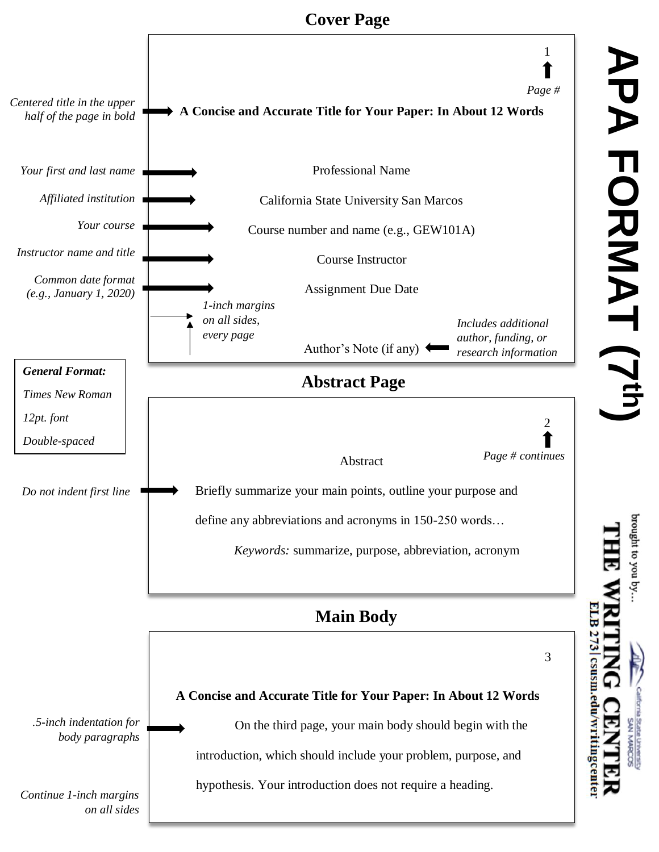## **Cover Page**



orought to you by